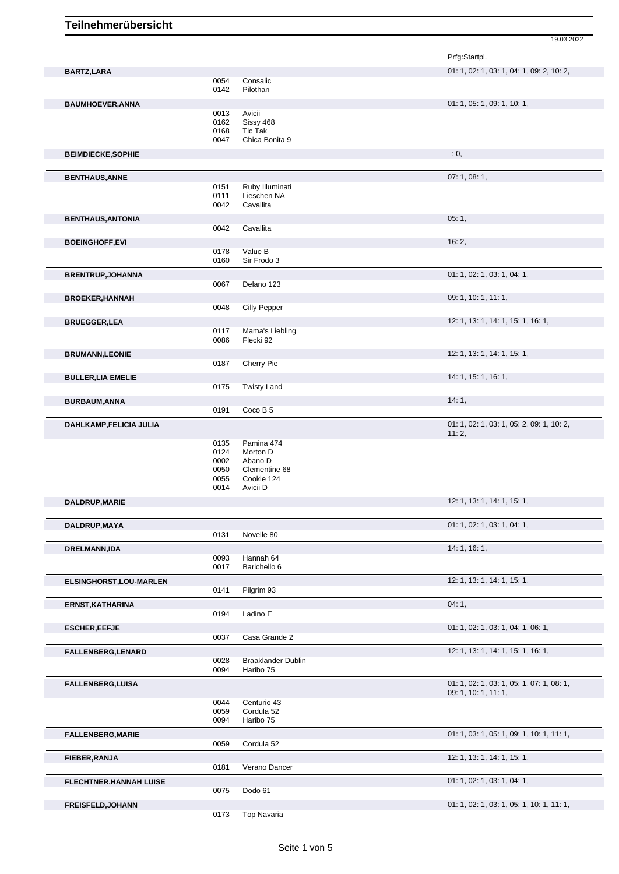19.03.2022

|      |                                                                                                                                                                      | Prfg:Startpl.                                                                                                                                                                                                                                                                                                    |
|------|----------------------------------------------------------------------------------------------------------------------------------------------------------------------|------------------------------------------------------------------------------------------------------------------------------------------------------------------------------------------------------------------------------------------------------------------------------------------------------------------|
|      |                                                                                                                                                                      | 01: 1, 02: 1, 03: 1, 04: 1, 09: 2, 10: 2,                                                                                                                                                                                                                                                                        |
| 0054 | Consalic                                                                                                                                                             |                                                                                                                                                                                                                                                                                                                  |
|      |                                                                                                                                                                      | 01: 1, 05: 1, 09: 1, 10: 1,                                                                                                                                                                                                                                                                                      |
| 0013 | Avicii                                                                                                                                                               |                                                                                                                                                                                                                                                                                                                  |
|      |                                                                                                                                                                      |                                                                                                                                                                                                                                                                                                                  |
| 0047 | Chica Bonita 9                                                                                                                                                       |                                                                                                                                                                                                                                                                                                                  |
|      |                                                                                                                                                                      | : 0,                                                                                                                                                                                                                                                                                                             |
|      |                                                                                                                                                                      | 07:1,08:1,                                                                                                                                                                                                                                                                                                       |
| 0151 | Ruby Illuminati                                                                                                                                                      |                                                                                                                                                                                                                                                                                                                  |
| 0042 | Cavallita                                                                                                                                                            |                                                                                                                                                                                                                                                                                                                  |
|      |                                                                                                                                                                      | 05:1,                                                                                                                                                                                                                                                                                                            |
| 0042 | Cavallita                                                                                                                                                            |                                                                                                                                                                                                                                                                                                                  |
|      |                                                                                                                                                                      | 16:2,                                                                                                                                                                                                                                                                                                            |
| 0160 | Sir Frodo 3                                                                                                                                                          |                                                                                                                                                                                                                                                                                                                  |
|      |                                                                                                                                                                      | 01: 1, 02: 1, 03: 1, 04: 1,                                                                                                                                                                                                                                                                                      |
| 0067 | Delano 123                                                                                                                                                           |                                                                                                                                                                                                                                                                                                                  |
|      |                                                                                                                                                                      | 09: 1, 10: 1, 11: 1,                                                                                                                                                                                                                                                                                             |
|      |                                                                                                                                                                      |                                                                                                                                                                                                                                                                                                                  |
|      |                                                                                                                                                                      | 12: 1, 13: 1, 14: 1, 15: 1, 16: 1,                                                                                                                                                                                                                                                                               |
| 0086 | Flecki 92                                                                                                                                                            |                                                                                                                                                                                                                                                                                                                  |
|      |                                                                                                                                                                      | 12: 1, 13: 1, 14: 1, 15: 1,                                                                                                                                                                                                                                                                                      |
|      |                                                                                                                                                                      |                                                                                                                                                                                                                                                                                                                  |
|      |                                                                                                                                                                      | 14: 1, 15: 1, 16: 1,                                                                                                                                                                                                                                                                                             |
|      |                                                                                                                                                                      | 14:1,                                                                                                                                                                                                                                                                                                            |
| 0191 | Coco B 5                                                                                                                                                             |                                                                                                                                                                                                                                                                                                                  |
|      |                                                                                                                                                                      | 01: 1, 02: 1, 03: 1, 05: 2, 09: 1, 10: 2,                                                                                                                                                                                                                                                                        |
|      |                                                                                                                                                                      | 11:2,                                                                                                                                                                                                                                                                                                            |
| 0124 | Morton D                                                                                                                                                             |                                                                                                                                                                                                                                                                                                                  |
|      |                                                                                                                                                                      |                                                                                                                                                                                                                                                                                                                  |
| 0055 | Cookie 124                                                                                                                                                           |                                                                                                                                                                                                                                                                                                                  |
| 0014 | Avicii D                                                                                                                                                             |                                                                                                                                                                                                                                                                                                                  |
|      |                                                                                                                                                                      | 12: 1, 13: 1, 14: 1, 15: 1,                                                                                                                                                                                                                                                                                      |
|      |                                                                                                                                                                      | 01: 1, 02: 1, 03: 1, 04: 1,                                                                                                                                                                                                                                                                                      |
| 0131 | Novelle 80                                                                                                                                                           |                                                                                                                                                                                                                                                                                                                  |
|      |                                                                                                                                                                      | 14: 1, 16: 1,                                                                                                                                                                                                                                                                                                    |
|      |                                                                                                                                                                      |                                                                                                                                                                                                                                                                                                                  |
|      |                                                                                                                                                                      | 12: 1, 13: 1, 14: 1, 15: 1,                                                                                                                                                                                                                                                                                      |
| 0141 | Pilgrim 93                                                                                                                                                           |                                                                                                                                                                                                                                                                                                                  |
|      |                                                                                                                                                                      | 04:1,                                                                                                                                                                                                                                                                                                            |
|      |                                                                                                                                                                      |                                                                                                                                                                                                                                                                                                                  |
|      |                                                                                                                                                                      | 01: 1, 02: 1, 03: 1, 04: 1, 06: 1,                                                                                                                                                                                                                                                                               |
|      |                                                                                                                                                                      | 12: 1, 13: 1, 14: 1, 15: 1, 16: 1,                                                                                                                                                                                                                                                                               |
| 0028 | <b>Braaklander Dublin</b>                                                                                                                                            |                                                                                                                                                                                                                                                                                                                  |
|      |                                                                                                                                                                      |                                                                                                                                                                                                                                                                                                                  |
|      |                                                                                                                                                                      | 01: 1, 02: 1, 03: 1, 05: 1, 07: 1, 08: 1,<br>09: 1, 10: 1, 11: 1,                                                                                                                                                                                                                                                |
| 0044 | Centurio 43                                                                                                                                                          |                                                                                                                                                                                                                                                                                                                  |
|      |                                                                                                                                                                      |                                                                                                                                                                                                                                                                                                                  |
|      |                                                                                                                                                                      | 01: 1, 03: 1, 05: 1, 09: 1, 10: 1, 11: 1,                                                                                                                                                                                                                                                                        |
| 0059 | Cordula 52                                                                                                                                                           |                                                                                                                                                                                                                                                                                                                  |
|      |                                                                                                                                                                      | 12: 1, 13: 1, 14: 1, 15: 1,                                                                                                                                                                                                                                                                                      |
|      |                                                                                                                                                                      |                                                                                                                                                                                                                                                                                                                  |
|      |                                                                                                                                                                      | 01: 1, 02: 1, 03: 1, 04: 1,                                                                                                                                                                                                                                                                                      |
|      |                                                                                                                                                                      | 01: 1, 02: 1, 03: 1, 05: 1, 10: 1, 11: 1,                                                                                                                                                                                                                                                                        |
| 0173 | <b>Top Navaria</b>                                                                                                                                                   |                                                                                                                                                                                                                                                                                                                  |
|      | 0142<br>0162<br>0168<br>0111<br>0178<br>0048<br>0117<br>0187<br>0175<br>0135<br>0002<br>0050<br>0093<br>0017<br>0194<br>0037<br>0094<br>0059<br>0094<br>0181<br>0075 | Pilothan<br>Sissy 468<br>Tic Tak<br>Lieschen NA<br>Value B<br><b>Cilly Pepper</b><br>Mama's Liebling<br>Cherry Pie<br><b>Twisty Land</b><br>Pamina 474<br>Abano D<br>Clementine 68<br>Hannah 64<br>Barichello 6<br>Ladino E<br>Casa Grande 2<br>Haribo 75<br>Cordula 52<br>Haribo 75<br>Verano Dancer<br>Dodo 61 |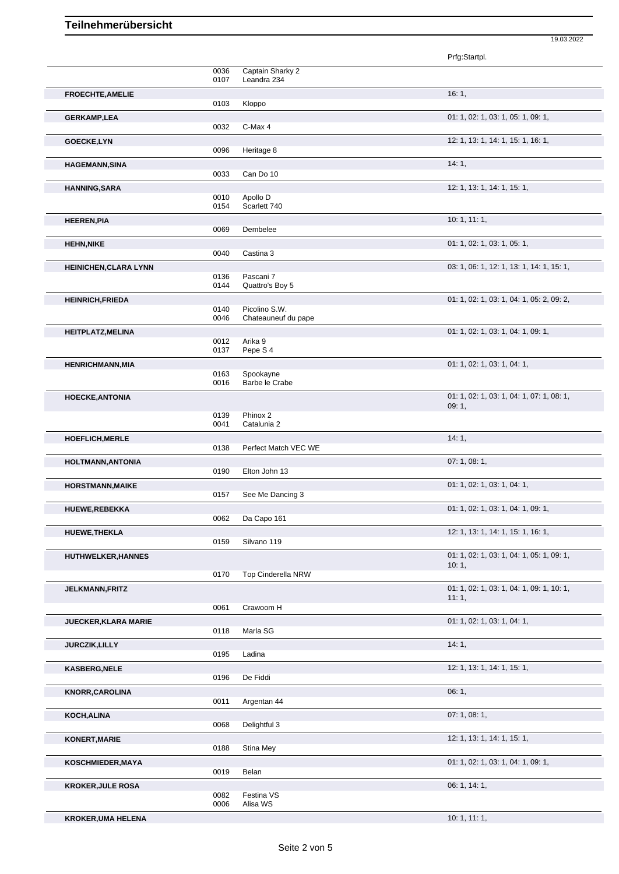## **Teilnehmerübersicht**

Prfg:Startpl.

19.03.2022

|                              |                                                 | , ,,,,.,,,,.,,,,                          |
|------------------------------|-------------------------------------------------|-------------------------------------------|
|                              | 0036<br>Captain Sharky 2<br>Leandra 234<br>0107 |                                           |
| FROECHTE, AMELIE             | 0103<br>Kloppo                                  | 16:1,                                     |
|                              |                                                 |                                           |
| <b>GERKAMP,LEA</b>           | 0032<br>C-Max 4                                 | 01: 1, 02: 1, 03: 1, 05: 1, 09: 1,        |
| GOECKE,LYN                   |                                                 | 12: 1, 13: 1, 14: 1, 15: 1, 16: 1,        |
|                              | 0096<br>Heritage 8                              | 14:1,                                     |
| <b>HAGEMANN, SINA</b>        | 0033<br>Can Do 10                               |                                           |
| <b>HANNING, SARA</b>         |                                                 | 12: 1, 13: 1, 14: 1, 15: 1,               |
|                              | 0010<br>Apollo D<br>0154<br>Scarlett 740        |                                           |
| <b>HEEREN, PIA</b>           |                                                 | 10: 1, 11: 1,                             |
|                              | 0069<br>Dembelee                                |                                           |
| <b>HEHN, NIKE</b>            | 0040<br>Castina 3                               | 01: 1, 02: 1, 03: 1, 05: 1,               |
| <b>HEINICHEN, CLARA LYNN</b> |                                                 | 03: 1, 06: 1, 12: 1, 13: 1, 14: 1, 15: 1, |
|                              | Pascani 7<br>0136<br>0144                       |                                           |
|                              | Quattro's Boy 5                                 | 01: 1, 02: 1, 03: 1, 04: 1, 05: 2, 09: 2, |
| <b>HEINRICH, FRIEDA</b>      | 0140<br>Picolino S.W.                           |                                           |
|                              | 0046<br>Chateauneuf du pape                     |                                           |
| <b>HEITPLATZ, MELINA</b>     | 0012<br>Arika 9                                 | 01: 1, 02: 1, 03: 1, 04: 1, 09: 1,        |
|                              | 0137<br>Pepe S <sub>4</sub>                     |                                           |
| <b>HENRICHMANN, MIA</b>      |                                                 | 01: 1, 02: 1, 03: 1, 04: 1,               |
|                              | 0163<br>Spookayne<br>0016<br>Barbe le Crabe     |                                           |
| <b>HOECKE, ANTONIA</b>       |                                                 | 01: 1, 02: 1, 03: 1, 04: 1, 07: 1, 08: 1, |
|                              |                                                 | 09:1,                                     |
|                              | 0139<br>Phinox 2<br>0041<br>Catalunia 2         |                                           |
| <b>HOEFLICH, MERLE</b>       |                                                 | 14:1,                                     |
|                              | 0138<br>Perfect Match VEC WE                    |                                           |
| HOLTMANN, ANTONIA            | 0190<br>Elton John 13                           | 07: 1, 08: 1,                             |
| <b>HORSTMANN, MAIKE</b>      |                                                 | 01: 1, 02: 1, 03: 1, 04: 1,               |
|                              | See Me Dancing 3<br>0157                        |                                           |
| <b>HUEWE,REBEKKA</b>         | 0062<br>Da Capo 161                             | 01: 1, 02: 1, 03: 1, 04: 1, 09: 1,        |
| HUEWE, THEKLA                |                                                 | 12: 1, 13: 1, 14: 1, 15: 1, 16: 1,        |
|                              | Silvano 119<br>0159                             |                                           |
| <b>HUTHWELKER, HANNES</b>    |                                                 | 01: 1, 02: 1, 03: 1, 04: 1, 05: 1, 09: 1, |
|                              | 0170<br>Top Cinderella NRW                      | 10:1,                                     |
| <b>JELKMANN, FRITZ</b>       |                                                 | 01: 1, 02: 1, 03: 1, 04: 1, 09: 1, 10: 1, |
|                              |                                                 | 11:1,                                     |
|                              | Crawoom H<br>0061                               |                                           |
| <b>JUECKER, KLARA MARIE</b>  | 0118<br>Marla SG                                | 01: 1, 02: 1, 03: 1, 04: 1,               |
| <b>JURCZIK, LILLY</b>        |                                                 | 14:1,                                     |
|                              | 0195<br>Ladina                                  |                                           |
| <b>KASBERG,NELE</b>          |                                                 | 12: 1, 13: 1, 14: 1, 15: 1,               |
|                              | 0196<br>De Fiddi                                |                                           |
| <b>KNORR, CAROLINA</b>       | 0011<br>Argentan 44                             | 06:1,                                     |
| KOCH,ALINA                   |                                                 | 07:1,08:1,                                |
|                              | 0068<br>Delightful 3                            |                                           |
| <b>KONERT, MARIE</b>         | 0188                                            | 12: 1, 13: 1, 14: 1, 15: 1,               |
|                              | Stina Mey                                       | 01: 1, 02: 1, 03: 1, 04: 1, 09: 1,        |
| <b>KOSCHMIEDER,MAYA</b>      | 0019<br>Belan                                   |                                           |
| <b>KROKER, JULE ROSA</b>     |                                                 | 06: 1, 14: 1,                             |
|                              | Festina VS<br>0082<br>0006<br>Alisa WS          |                                           |
| <b>KROKER, UMA HELENA</b>    |                                                 | 10: 1, 11: 1,                             |
|                              |                                                 |                                           |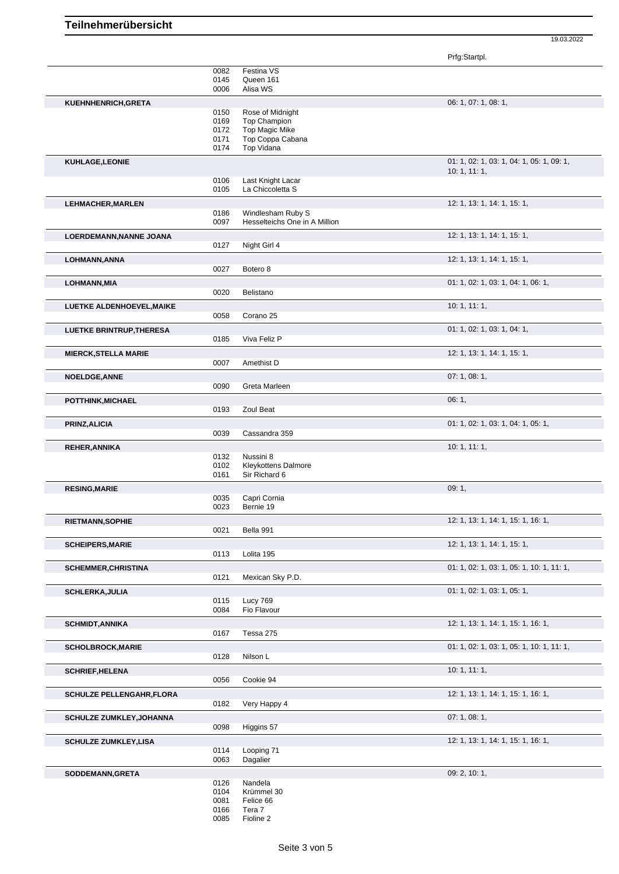19.03.2022

|                                 |              |                                         | Prfg:Startpl.                             |
|---------------------------------|--------------|-----------------------------------------|-------------------------------------------|
|                                 | 0082         | Festina VS                              |                                           |
|                                 | 0145         | Queen 161                               |                                           |
|                                 | 0006         | Alisa WS                                |                                           |
| KUEHNHENRICH, GRETA             |              |                                         | 06: 1, 07: 1, 08: 1,                      |
|                                 | 0150<br>0169 | Rose of Midnight<br><b>Top Champion</b> |                                           |
|                                 | 0172         | Top Magic Mike                          |                                           |
|                                 | 0171         | Top Coppa Cabana                        |                                           |
|                                 | 0174         | Top Vidana                              |                                           |
| <b>KUHLAGE,LEONIE</b>           |              |                                         | 01: 1, 02: 1, 03: 1, 04: 1, 05: 1, 09: 1, |
|                                 | 0106         | Last Knight Lacar                       | 10: 1, 11: 1,                             |
|                                 | 0105         | La Chiccoletta S                        |                                           |
| <b>LEHMACHER, MARLEN</b>        |              |                                         | 12: 1, 13: 1, 14: 1, 15: 1,               |
|                                 | 0186         | Windlesham Ruby S                       |                                           |
|                                 | 0097         | Hesselteichs One in A Million           |                                           |
| LOERDEMANN, NANNE JOANA         |              |                                         | 12: 1, 13: 1, 14: 1, 15: 1,               |
|                                 | 0127         | Night Girl 4                            |                                           |
| LOHMANN, ANNA                   | 0027         |                                         | 12: 1, 13: 1, 14: 1, 15: 1,               |
|                                 |              | Botero <sub>8</sub>                     |                                           |
| LOHMANN, MIA                    | 0020         | Belistano                               | 01: 1, 02: 1, 03: 1, 04: 1, 06: 1,        |
|                                 |              |                                         | 10:1, 11:1,                               |
| LUETKE ALDENHOEVEL, MAIKE       | 0058         | Corano 25                               |                                           |
| <b>LUETKE BRINTRUP, THERESA</b> |              |                                         | 01: 1, 02: 1, 03: 1, 04: 1,               |
|                                 | 0185         | Viva Feliz P                            |                                           |
| <b>MIERCK, STELLA MARIE</b>     |              |                                         | 12: 1, 13: 1, 14: 1, 15: 1,               |
|                                 | 0007         | Amethist D                              |                                           |
| <b>NOELDGE, ANNE</b>            |              |                                         | 07: 1, 08: 1,                             |
|                                 | 0090         | Greta Marleen                           |                                           |
| POTTHINK, MICHAEL               |              |                                         | 06:1,                                     |
|                                 | 0193         | Zoul Beat                               |                                           |
| PRINZ, ALICIA                   |              |                                         | 01: 1, 02: 1, 03: 1, 04: 1, 05: 1,        |
|                                 | 0039         | Cassandra 359                           |                                           |
| <b>REHER, ANNIKA</b>            | 0132         | Nussini 8                               | 10: 1, 11: 1,                             |
|                                 | 0102         | <b>Kleykottens Dalmore</b>              |                                           |
|                                 | 0161         | Sir Richard 6                           |                                           |
| <b>RESING, MARIE</b>            |              |                                         | 09:1,                                     |
|                                 | 0035<br>0023 | Capri Cornia<br>Bernie 19               |                                           |
|                                 |              |                                         |                                           |
| <b>RIETMANN, SOPHIE</b>         | 0021         | Bella 991                               | 12: 1, 13: 1, 14: 1, 15: 1, 16: 1,        |
|                                 |              |                                         |                                           |
| <b>SCHEIPERS, MARIE</b>         | 0113         | Lolita 195                              | 12: 1, 13: 1, 14: 1, 15: 1,               |
| <b>SCHEMMER, CHRISTINA</b>      |              |                                         | 01: 1, 02: 1, 03: 1, 05: 1, 10: 1, 11: 1, |
|                                 | 0121         | Mexican Sky P.D.                        |                                           |
| <b>SCHLERKA, JULIA</b>          |              |                                         | 01: 1, 02: 1, 03: 1, 05: 1,               |
|                                 | 0115         | Lucy 769                                |                                           |
|                                 | 0084         | Fio Flavour                             |                                           |
| <b>SCHMIDT, ANNIKA</b>          |              |                                         | 12: 1, 13: 1, 14: 1, 15: 1, 16: 1,        |
|                                 | 0167         | Tessa 275                               |                                           |
| <b>SCHOLBROCK, MARIE</b>        |              |                                         | 01: 1, 02: 1, 03: 1, 05: 1, 10: 1, 11: 1, |
|                                 | 0128         | Nilson L                                |                                           |
| <b>SCHRIEF, HELENA</b>          |              |                                         | 10: 1, 11: 1,                             |
|                                 | 0056         | Cookie 94                               |                                           |
| <b>SCHULZE PELLENGAHR,FLORA</b> | 0182         |                                         | 12: 1, 13: 1, 14: 1, 15: 1, 16: 1,        |
|                                 |              | Very Happy 4                            |                                           |
| <b>SCHULZE ZUMKLEY, JOHANNA</b> | 0098         | Higgins 57                              | 07:1,08:1,                                |
|                                 |              |                                         |                                           |
| <b>SCHULZE ZUMKLEY,LISA</b>     | 0114         | Looping 71                              | 12: 1, 13: 1, 14: 1, 15: 1, 16: 1,        |
|                                 | 0063         | Dagalier                                |                                           |
| SODDEMANN, GRETA                |              |                                         | 09: 2, 10: 1,                             |
|                                 | 0126         | Nandela                                 |                                           |
|                                 | 0104<br>0081 | Krümmel 30<br>Felice 66                 |                                           |
|                                 | 0166         | Tera 7                                  |                                           |
|                                 | 0085         | Fioline 2                               |                                           |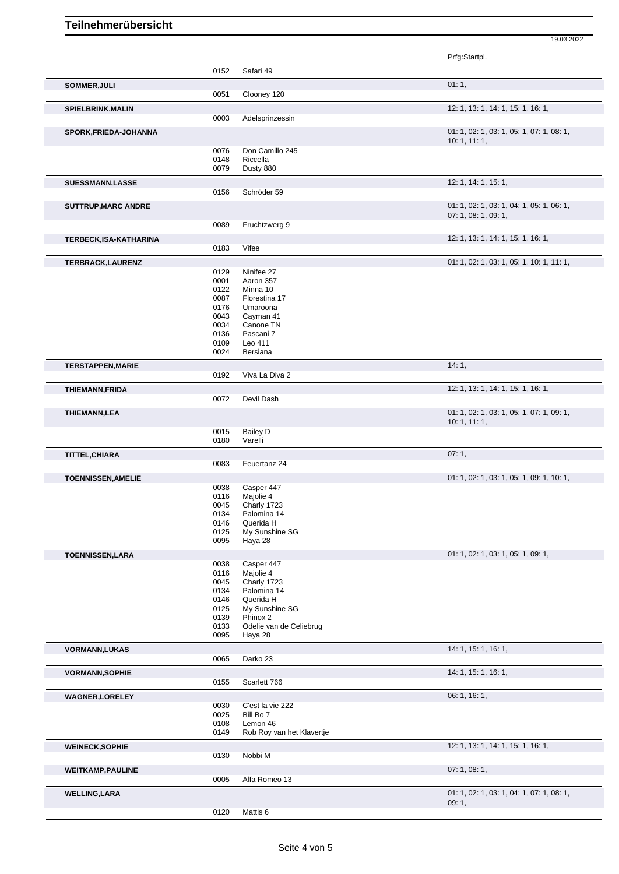## **Teilnehmerübersicht**

|                               |              |                               | 19.03.2022                                               |
|-------------------------------|--------------|-------------------------------|----------------------------------------------------------|
|                               |              |                               | Prfg:Startpl.                                            |
|                               | 0152         | Safari 49                     |                                                          |
|                               |              |                               |                                                          |
| SOMMER, JULI                  | 0051         | Clooney 120                   | 01:1,                                                    |
| <b>SPIELBRINK, MALIN</b>      |              |                               | 12: 1, 13: 1, 14: 1, 15: 1, 16: 1,                       |
|                               | 0003         | Adelsprinzessin               |                                                          |
| SPORK, FRIEDA-JOHANNA         |              |                               | 01: 1, 02: 1, 03: 1, 05: 1, 07: 1, 08: 1,                |
|                               | 0076         | Don Camillo 245               | 10: 1, 11: 1,                                            |
|                               | 0148         | Riccella                      |                                                          |
|                               | 0079         | Dusty 880                     |                                                          |
| <b>SUESSMANN,LASSE</b>        |              |                               | 12: 1, 14: 1, 15: 1,                                     |
|                               | 0156         | Schröder 59                   |                                                          |
| <b>SUTTRUP, MARC ANDRE</b>    |              |                               | 01: 1, 02: 1, 03: 1, 04: 1, 05: 1, 06: 1,                |
|                               | 0089         | Fruchtzwerg 9                 | 07: 1, 08: 1, 09: 1,                                     |
|                               |              |                               |                                                          |
| <b>TERBECK, ISA-KATHARINA</b> | 0183         | Vifee                         | 12: 1, 13: 1, 14: 1, 15: 1, 16: 1,                       |
|                               |              |                               | 01: 1, 02: 1, 03: 1, 05: 1, 10: 1, 11: 1,                |
| TERBRACK, LAURENZ             | 0129         | Ninifee 27                    |                                                          |
|                               | 0001         | Aaron 357                     |                                                          |
|                               | 0122         | Minna 10                      |                                                          |
|                               | 0087         | Florestina 17                 |                                                          |
|                               | 0176<br>0043 | Umaroona<br>Cayman 41         |                                                          |
|                               | 0034         | Canone TN                     |                                                          |
|                               | 0136         | Pascani 7                     |                                                          |
|                               | 0109         | Leo 411                       |                                                          |
|                               | 0024         | Bersiana                      |                                                          |
| <b>TERSTAPPEN, MARIE</b>      |              |                               | 14:1,                                                    |
|                               | 0192         | Viva La Diva 2                |                                                          |
| <b>THIEMANN, FRIDA</b>        |              |                               | 12: 1, 13: 1, 14: 1, 15: 1, 16: 1,                       |
|                               | 0072         | Devil Dash                    |                                                          |
| <b>THIEMANN,LEA</b>           |              |                               | 01: 1, 02: 1, 03: 1, 05: 1, 07: 1, 09: 1,<br>10:1, 11:1, |
|                               | 0015         | <b>Bailey D</b>               |                                                          |
|                               | 0180         | Varelli                       |                                                          |
| TITTEL, CHIARA                |              |                               | 07:1,                                                    |
|                               | 0083         | Feuertanz 24                  |                                                          |
| <b>TOENNISSEN, AMELIE</b>     |              |                               | 01: 1, 02: 1, 03: 1, 05: 1, 09: 1, 10: 1,                |
|                               | 0038         | Casper 447                    |                                                          |
|                               | 0116<br>0045 | Majolie 4<br>Charly 1723      |                                                          |
|                               | 0134         | Palomina 14                   |                                                          |
|                               | 0146         | Querida H                     |                                                          |
|                               | 0125         | My Sunshine SG                |                                                          |
|                               | 0095         | Haya 28                       |                                                          |
| <b>TOENNISSEN,LARA</b>        |              |                               | 01: 1, 02: 1, 03: 1, 05: 1, 09: 1,                       |
|                               | 0038         | Casper 447                    |                                                          |
|                               | 0116<br>0045 | Majolie 4<br>Charly 1723      |                                                          |
|                               | 0134         | Palomina 14                   |                                                          |
|                               | 0146         | Querida H                     |                                                          |
|                               | 0125         | My Sunshine SG                |                                                          |
|                               | 0139         | Phinox 2                      |                                                          |
|                               | 0133         | Odelie van de Celiebrug       |                                                          |
|                               | 0095         | Haya 28                       |                                                          |
| <b>VORMANN,LUKAS</b>          |              |                               | 14: 1, 15: 1, 16: 1,                                     |
|                               | 0065         | Darko 23                      |                                                          |
| <b>VORMANN, SOPHIE</b>        | 0155         | Scarlett 766                  | 14: 1, 15: 1, 16: 1,                                     |
|                               |              |                               |                                                          |
| <b>WAGNER, LORELEY</b>        |              |                               | 06: 1, 16: 1,                                            |
|                               | 0030<br>0025 | C'est la vie 222<br>Bill Bo 7 |                                                          |
|                               | 0108         | Lemon 46                      |                                                          |
|                               | 0149         | Rob Roy van het Klavertje     |                                                          |
| <b>WEINECK, SOPHIE</b>        |              |                               | 12: 1, 13: 1, 14: 1, 15: 1, 16: 1,                       |
|                               | 0130         | Nobbi M                       |                                                          |
| <b>WEITKAMP, PAULINE</b>      |              |                               | 07:1,08:1,                                               |
|                               | 0005         | Alfa Romeo 13                 |                                                          |
| <b>WELLING, LARA</b>          |              |                               | 01: 1, 02: 1, 03: 1, 04: 1, 07: 1, 08: 1,                |
|                               |              |                               | 09:1,                                                    |
|                               | 0120         | Mattis 6                      |                                                          |